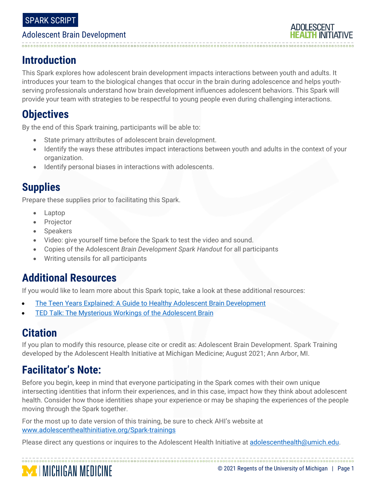#### SPARK SCRIPT

#### Adolescent Brain Development

# **ADOLESCENT**

# **Introduction**

This Spark explores how adolescent brain development impacts interactions between youth and adults. It introduces your team to the biological changes that occur in the brain during adolescence and helps youthserving professionals understand how brain development influences adolescent behaviors. This Spark will provide your team with strategies to be respectful to young people even during challenging interactions.

# **Objectives**

By the end of this Spark training, participants will be able to:

- State primary attributes of adolescent brain development.
- Identify the ways these attributes impact interactions between youth and adults in the context of your organization.
- Identify personal biases in interactions with adolescents.

# **Supplies**

Prepare these supplies prior to facilitating this Spark.

- Laptop
- **Projector**
- Speakers
- Video: give yourself time before the Spark to test the video and sound.
- Copies of the Adolescent *Brain Development Spark Handout* for all participants
- Writing utensils for all participants

# **Additional Resources**

If you would like to learn more about this Spark topic, take a look at these additional resources:

- **[The Teen Years Explained:](http://www.jhsph.edu/research/centers-and-institutes/center-for-adolescent-health/_includes/Interactive%20Guide.pdf) A Guide to Healthy Adolescent Brain Development**
- **TED [Talk: The Mysterious Workings of the Adolescent Brain](https://www.ted.com/talks/sarah_jayne_blakemore_the_mysterious_workings_of_the_adolescent_brain)**

# **Citation**

If you plan to modify this resource, please cite or credit as: Adolescent Brain Development. Spark Training developed by the Adolescent Health Initiative at Michigan Medicine; August 2021; Ann Arbor, MI.

# **Facilitator's Note:**

**MEDICHIGAN MEDICINE** 

Before you begin, keep in mind that everyone participating in the Spark comes with their own unique intersecting identities that inform their experiences, and in this case, impact how they think about adolescent health. Consider how those identities shape your experience or may be shaping the experiences of the people moving through the Spark together.

For the most up to date version of this training, be sure to check AHI's website at [www.adolescenthealthinitiative.org/Spark-trainings](http://www.adolescenthealthinitiative.org/Spark-trainings)

Please direct any questions or inquires to the Adolescent Health Initiative at [adolescenthealth@umich.edu.](mailto:adolescenthealth@umich.edu)

#### © 2021 Regents of the University of Michigan | Page 1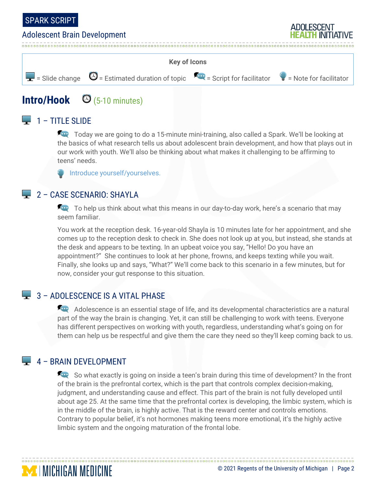

#### Adolescent Brain Development





# **Intro/Hook**  $\bigcirc$  (5-10 minutes)

## $\Box$  1 – TITLE SLIDE

Today we are going to do a 15-minute mini-training, also called a Spark. We'll be looking at the basics of what research tells us about adolescent brain development, and how that plays out in our work with youth. We'll also be thinking about what makes it challenging to be affirming to teens' needs.

Introduce yourself/yourselves.

#### 2 – CASE SCENARIO: SHAYLA

To help us think about what this means in our day-to-day work, here's a scenario that may seem familiar.

You work at the reception desk. 16-year-old Shayla is 10 minutes late for her appointment, and she comes up to the reception desk to check in. She does not look up at you, but instead, she stands at the desk and appears to be texting. In an upbeat voice you say, "Hello! Do you have an appointment?" She continues to look at her phone, frowns, and keeps texting while you wait. Finally, she looks up and says, "What?" We'll come back to this scenario in a few minutes, but for now, consider your gut response to this situation.

#### 3 - ADOLESCENCE IS A VITAL PHASE

Adolescence is an essential stage of life, and its developmental characteristics are a natural part of the way the brain is changing. Yet, it can still be challenging to work with teens. Everyone has different perspectives on working with youth, regardless, understanding what's going on for them can help us be respectful and give them the care they need so they'll keep coming back to us.

#### $\Box$  4 – BRAIN DEVELOPMENT

**MENGAN MEDICINE** 

So what exactly is going on inside a teen's brain during this time of development? In the front of the brain is the prefrontal cortex, which is the part that controls complex decision-making, judgment, and understanding cause and effect. This part of the brain is not fully developed until about age 25. At the same time that the prefrontal cortex is developing, the limbic system, which is in the middle of the brain, is highly active. That is the reward center and controls emotions. Contrary to popular belief, it's not hormones making teens more emotional, it's the highly active limbic system and the ongoing maturation of the frontal lobe.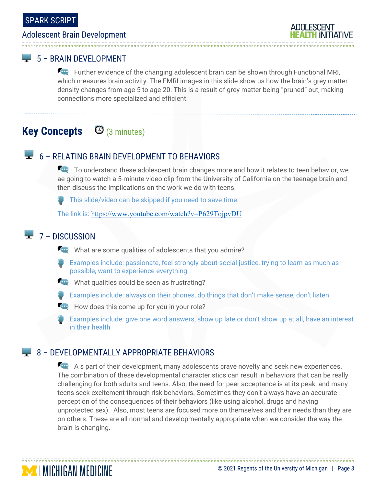#### Adolescent Brain Development

#### **LU** 5 – BRAIN DEVELOPMENT

Further evidence of the changing adolescent brain can be shown through Functional MRI, which measures brain activity. The FMRI images in this slide show us how the brain's grey matter density changes from age 5 to age 20. This is a result of grey matter being "pruned" out, making connections more specialized and efficient.

# **Key Concepts** (3 minutes)

#### **Signal** 6 – RELATING BRAIN DEVELOPMENT TO BEHAVIORS

To understand these adolescent brain changes more and how it relates to teen behavior, we ae going to watch a 5-minute video clip from the University of California on the teenage brain and then discuss the implications on the work we do with teens.

This slide/video can be skipped if you need to save time.

The link is: <https://www.youtube.com/watch?v=P629TojpvDU>

# $\overline{2}$  7 – DISCUSSION

**MINICHIGAN MEDICINE** 

What are some qualities of adolescents that you admire?

- Examples include: passionate, feel strongly about social justice, trying to learn as much as possible, want to experience everything
- What qualities could be seen as frustrating?
- Examples include: always on their phones, do things that don't make sense, don't listen
- How does this come up for you in your role?
- Examples include: give one word answers, show up late or don't show up at all, have an interest in their health

#### 8 – DEVELOPMENTALLY APPROPRIATE BEHAVIORS

A s part of their development, many adolescents crave novelty and seek new experiences. The combination of these developmental characteristics can result in behaviors that can be really challenging for both adults and teens. Also, the need for peer acceptance is at its peak, and many teens seek excitement through risk behaviors. Sometimes they don't always have an accurate perception of the consequences of their behaviors (like using alcohol, drugs and having unprotected sex). Also, most teens are focused more on themselves and their needs than they are on others. These are all normal and developmentally appropriate when we consider the way the brain is changing.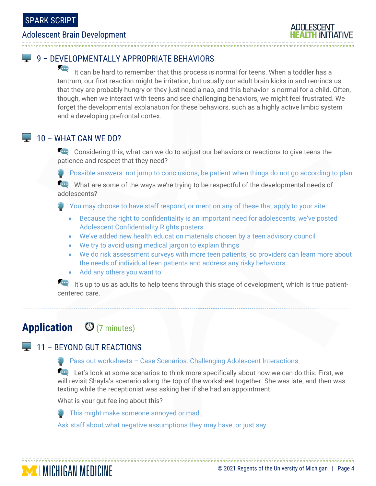#### Adolescent Brain Development

## 9 – DEVELOPMENTALLY APPROPRIATE BEHAVIORS

It can be hard to remember that this process is normal for teens. When a toddler has a tantrum, our first reaction might be irritation, but usually our adult brain kicks in and reminds us that they are probably hungry or they just need a nap, and this behavior is normal for a child. Often, though, when we interact with teens and see challenging behaviors, we might feel frustrated. We forget the developmental explanation for these behaviors, such as a highly active limbic system and a developing prefrontal cortex.

#### $\Box$  10 – WHAT CAN WE DO?

**Considering this, what can we do to adjust our behaviors or reactions to give teens the** patience and respect that they need?

 $\bullet$  Possible answers: not jump to conclusions, be patient when things do not go according to plan

What are some of the ways we're trying to be respectful of the developmental needs of adolescents?

- You may choose to have staff respond, or mention any of these that apply to your site:
	- Because the right to confidentiality is an important need for adolescents, we've posted Adolescent Confidentiality Rights posters
	- We've added new health education materials chosen by a teen advisory council
	- We try to avoid using medical jargon to explain things
	- We do risk assessment surveys with more teen patients, so providers can learn more about the needs of individual teen patients and address any risky behaviors
	- Add any others you want to

It's up to us as adults to help teens through this stage of development, which is true patientcentered care.

# **Application** (7 minutes)

## 11 – BEYOND GUT REACTIONS

**MINICHIGAN MEDICINE** 

#### **Pass out worksheets - Case Scenarios: Challenging Adolescent Interactions**

Let's look at some scenarios to think more specifically about how we can do this. First, we will revisit Shayla's scenario along the top of the worksheet together. She was late, and then was texting while the receptionist was asking her if she had an appointment.

What is your gut feeling about this?



Ask staff about what negative assumptions they may have, or just say: